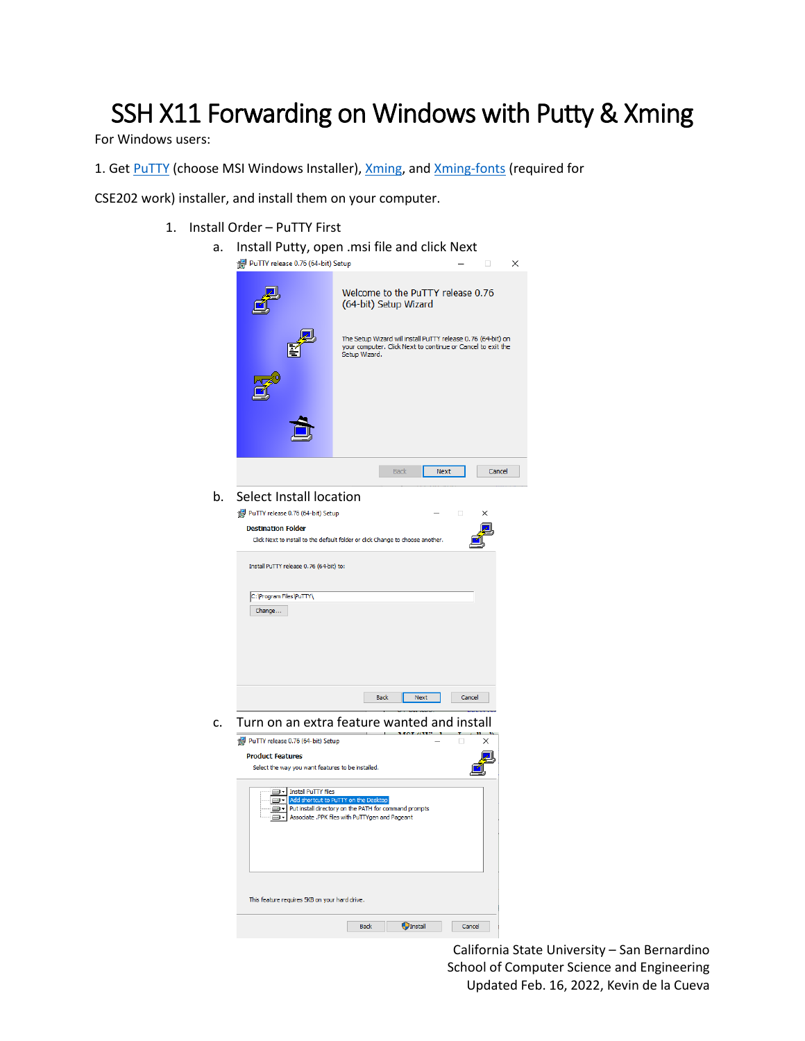## SSH X11 Forwarding on Windows with Putty & Xming

For Windows users:

1. Get PuTTY (choose MSI Windows Installer), [Xming,](https://sourceforge.net/projects/xming/files/) and [Xming-fonts](https://sourceforge.net/projects/xming/files/Xming-fonts/7.7.0.10/) (required for

CSE202 work) installer, and install them on your computer.

1. Install Order – PuTTY First

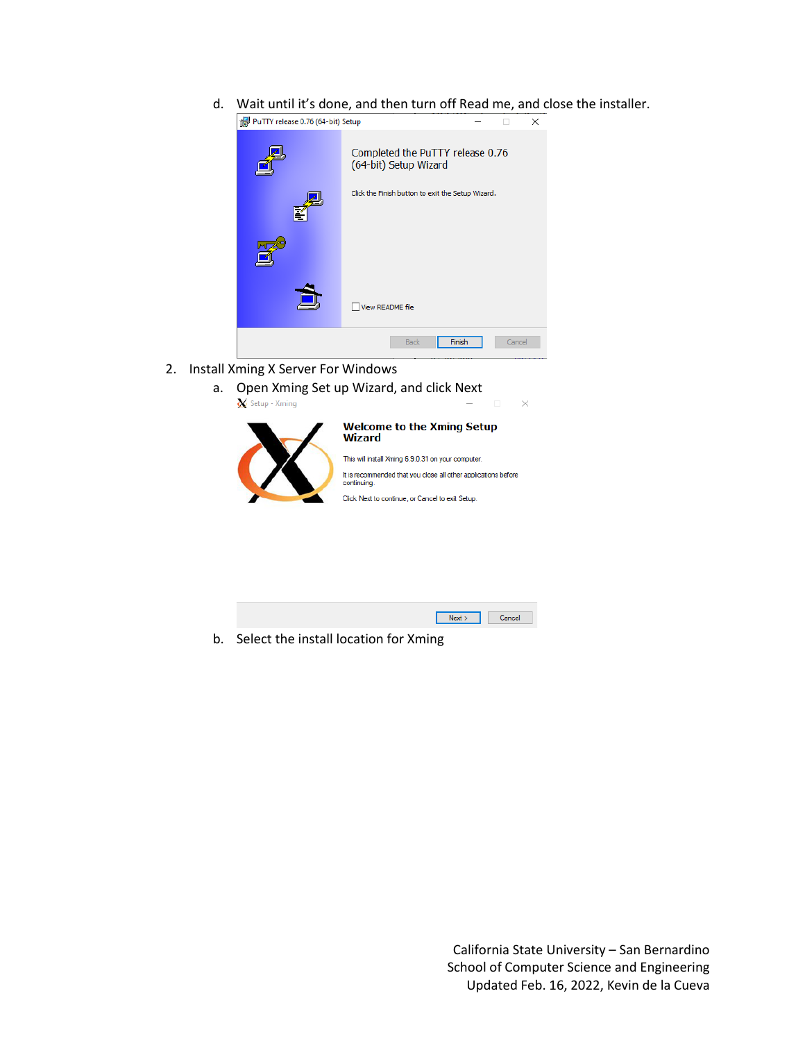d. Wait until it's done, and then turn off Read me, and close the installer.



- 2. Install Xming X Server For Windows
	- a. Open Xming Set up Wizard, and click Next Setup - Xming



## **Welcome to the Xming Setup Wizard**

 $\times$ 

This will install Xming 6.9.0.31 on your computer. It is recommended that you close all other applications before<br>continuing.

Click Next to continue, or Cancel to exit Setup.



b. Select the install location for Xming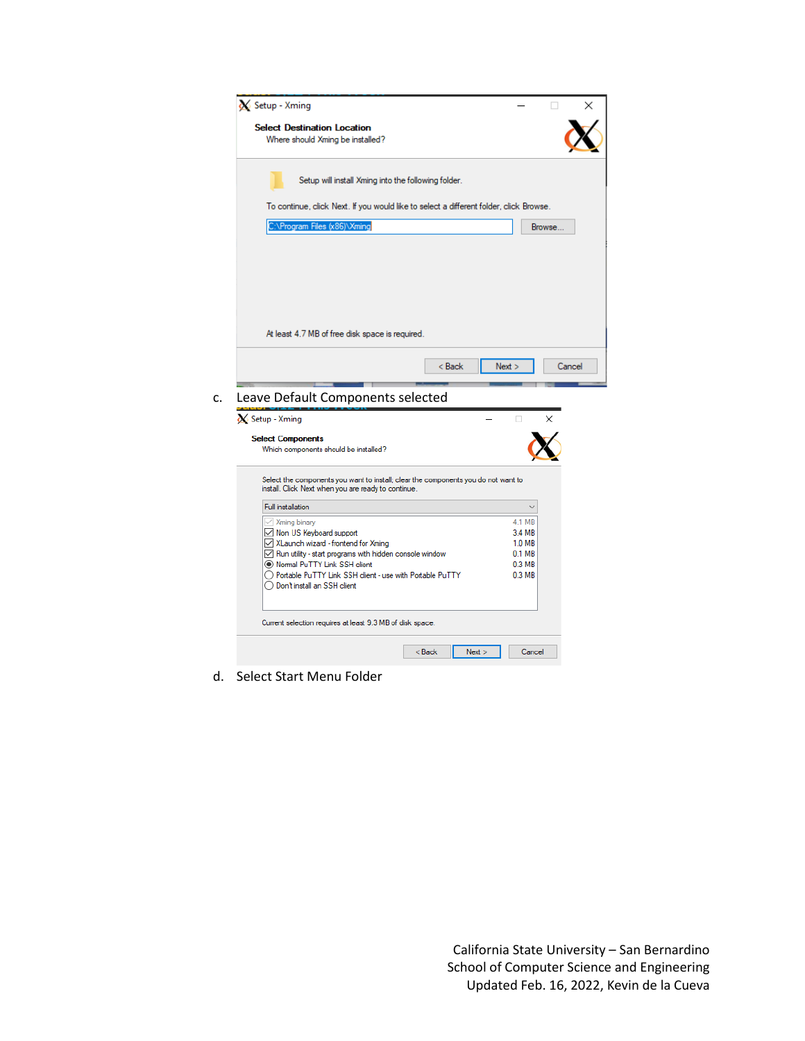| Setup - Xming                                                                               |                                                                                        |        |
|---------------------------------------------------------------------------------------------|----------------------------------------------------------------------------------------|--------|
| <b>Select Destination Location</b>                                                          |                                                                                        |        |
| Where should Xming be installed?                                                            |                                                                                        |        |
|                                                                                             | Setup will install Xming into the following folder.                                    |        |
|                                                                                             | To continue, click Next. If you would like to select a different folder, click Browse. |        |
| :\Program Files (x86)\Xming                                                                 |                                                                                        | Browse |
|                                                                                             |                                                                                        |        |
|                                                                                             |                                                                                        |        |
|                                                                                             |                                                                                        |        |
| At least 4.7 MB of free disk space is required.                                             |                                                                                        |        |
|                                                                                             |                                                                                        |        |
|                                                                                             |                                                                                        |        |
|                                                                                             | < Back<br>Next                                                                         | Cancel |
|                                                                                             |                                                                                        |        |
| Leave Default Components selected                                                           |                                                                                        |        |
| Setup - Xming                                                                               | п                                                                                      |        |
| <b>Select Components</b>                                                                    |                                                                                        |        |
| Which components should be installed?                                                       |                                                                                        |        |
| install. Click Next when you are ready to continue.                                         | Select the components you want to install; clear the components you do not want to     |        |
| <b>Full installation</b>                                                                    |                                                                                        |        |
| $\vee$ Xming binary                                                                         | 4.1 MB                                                                                 |        |
| Mon US Keyboard support                                                                     | 3.4 MB                                                                                 |        |
| XLaunch wizard - frontend for Xming                                                         | 1.0 MB                                                                                 |        |
| $\sqrt{\phantom{a}}$ Run utility - start programs with hidden console window                | 0.1 <sub>MB</sub>                                                                      |        |
| (C) Normal PuTTY Link SSH client                                                            | 0.3 MB                                                                                 |        |
| ◯ Portable PuTTY Link SSH client - use with Portable PuTTY<br>◯ Don't install an SSH client | 0.3 <sub>MB</sub>                                                                      |        |
| Current selection requires at least 9.3 MB of disk space.                                   |                                                                                        |        |

d. Select Start Menu Folder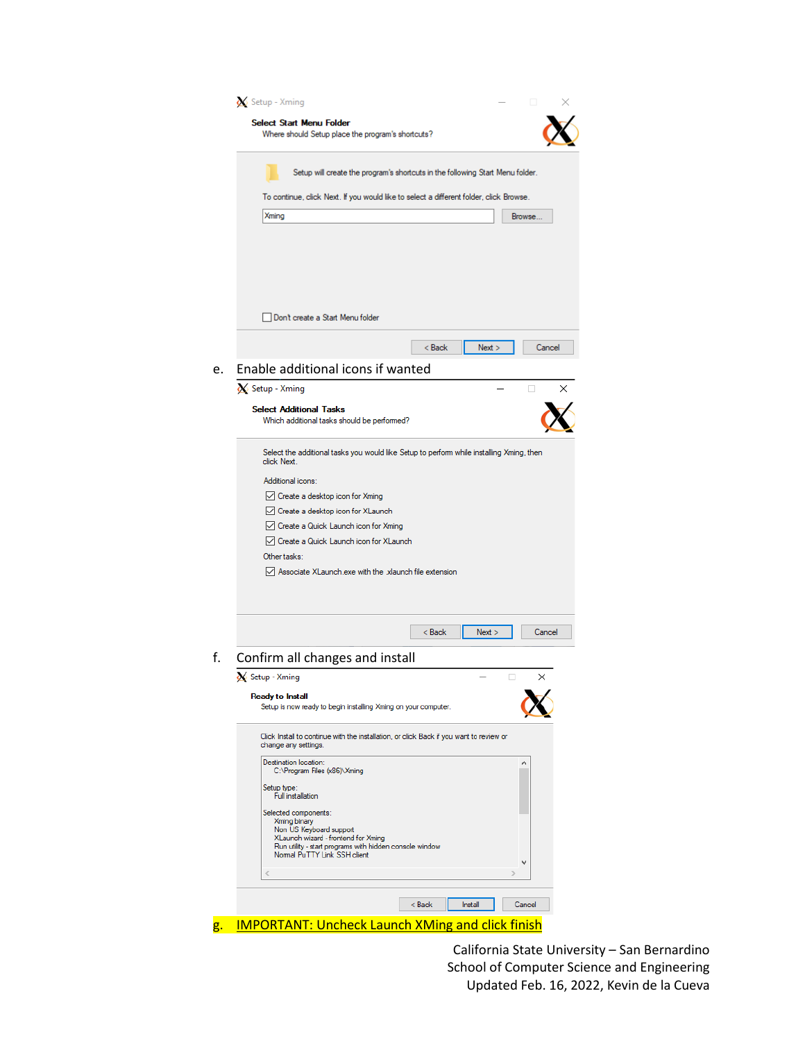| Setup - Xming<br>□                                                                                              |
|-----------------------------------------------------------------------------------------------------------------|
| <b>Select Start Menu Folder</b><br>Where should Setup place the program's shortcuts?                            |
|                                                                                                                 |
| Setup will create the program's shortcuts in the following Start Menu folder.                                   |
| To continue, click Next. If you would like to select a different folder, click Browse.                          |
| <b>Xming</b><br>Browse                                                                                          |
|                                                                                                                 |
|                                                                                                                 |
|                                                                                                                 |
|                                                                                                                 |
| Don't create a Start Menu folder                                                                                |
| < Back<br>Next<br>Cancel                                                                                        |
| Enable additional icons if wanted                                                                               |
| Setup - Xming<br>$\Box$<br>×                                                                                    |
| <b>Select Additional Tasks</b><br>Which additional tasks should be performed?                                   |
| Select the additional tasks you would like Setup to perform while installing Xming, then<br>click Next.         |
| Additional icons:                                                                                               |
| ◯ Create a desktop icon for Xming                                                                               |
| √ Create a desktop icon for XLaunch                                                                             |
| $\vee$ Create a Quick Launch icon for Xming                                                                     |
| Create a Quick Launch icon for XLaunch                                                                          |
| Other tasks:                                                                                                    |
| Associate XLaunch exe with the xlaunch file extension                                                           |
| $8$ Back<br>Next ><br>Cancel                                                                                    |
| Confirm all changes and install                                                                                 |
| X Setup - Xming<br>×<br>□                                                                                       |
| <b>Ready to Install</b>                                                                                         |
| Setup is now ready to begin installing Xming on your computer.                                                  |
| Click Install to continue with the installation, or click Back if you want to review or<br>change any settings. |
| Destination location:<br>C:\Program Files (x86)\Xming                                                           |
| Setup type:<br><b>Full installation</b>                                                                         |
|                                                                                                                 |
| Selected components:<br>Xming binary<br>Non US Keyboard support                                                 |
| XLaunch wizard - frontend for Xming                                                                             |
| Run utility - start programs with hidden console window<br>Normal PuTTY Link SSH client                         |
| ⋖<br>5                                                                                                          |
| < Back<br>Install<br>Cancel                                                                                     |
|                                                                                                                 |
| <b>IMPORTANT: Uncheck Launch XMing and click finish</b>                                                         |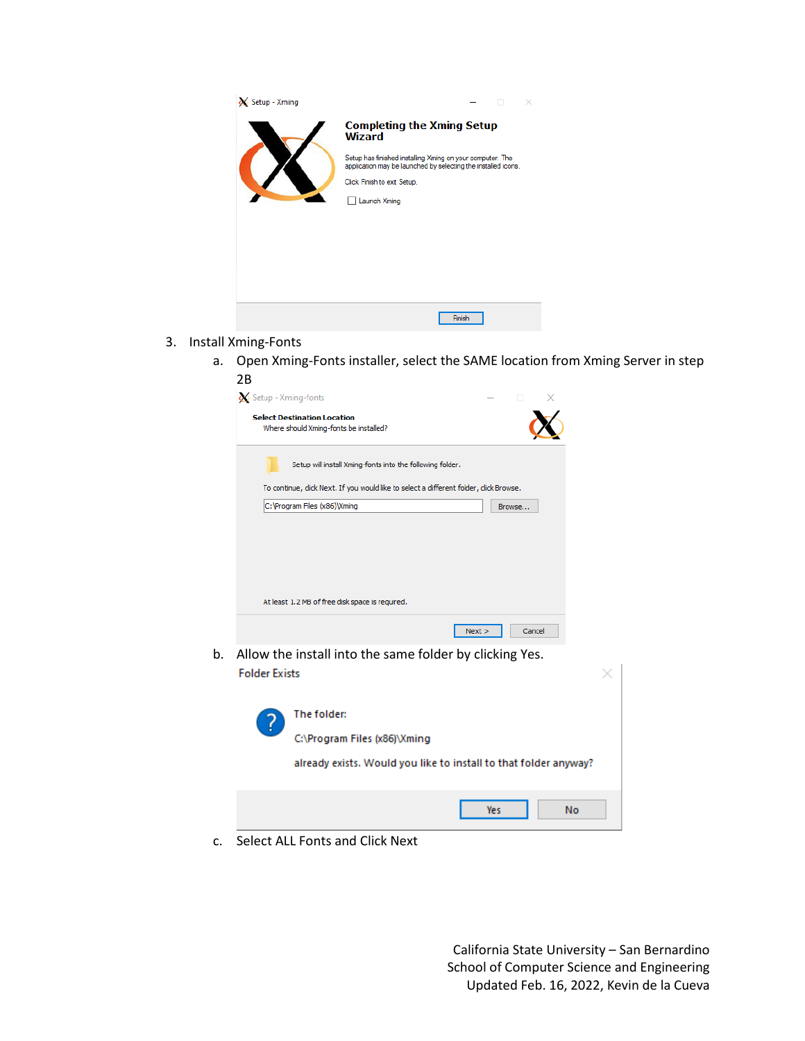| X Setup - Xming |                                                                                                                            |
|-----------------|----------------------------------------------------------------------------------------------------------------------------|
|                 | <b>Completing the Xming Setup</b><br><b>Wizard</b>                                                                         |
|                 | Setup has finished installing Xming on your computer. The<br>application may be launched by selecting the installed icons. |
|                 | Click Finish to exit Setup.                                                                                                |
|                 | Launch Xming                                                                                                               |
|                 |                                                                                                                            |
|                 |                                                                                                                            |
|                 |                                                                                                                            |
|                 |                                                                                                                            |
|                 |                                                                                                                            |
|                 | Finish                                                                                                                     |

- 3. Install Xming-Fonts
	- a. Open Xming-Fonts installer, select the SAME location from Xming Server in step 2B

| Setup - Xming-fonts                                                                    |  |        |        |
|----------------------------------------------------------------------------------------|--|--------|--------|
| <b>Select Destination Location</b><br>Where should Xming-fonts be installed?           |  |        |        |
| Setup will install Xming-fonts into the following folder.                              |  |        |        |
| To continue, click Next. If you would like to select a different folder, click Browse. |  |        |        |
| C: \Program Files (x86) \Xming                                                         |  | Browse |        |
| At least 1.2 MB of free disk space is required.                                        |  |        |        |
| Next                                                                                   |  |        | Cancel |

b. Allow the install into the same folder by clicking Yes. **Folder Exists** 

| The folder:<br>C:\Program Files (x86)\Xming<br>already exists. Would you like to install to that folder anyway? |
|-----------------------------------------------------------------------------------------------------------------|
| No<br>Yes                                                                                                       |

c. Select ALL Fonts and Click Next

California State University – San Bernardino School of Computer Science and Engineering Updated Feb. 16, 2022, Kevin de la Cueva

 $\times$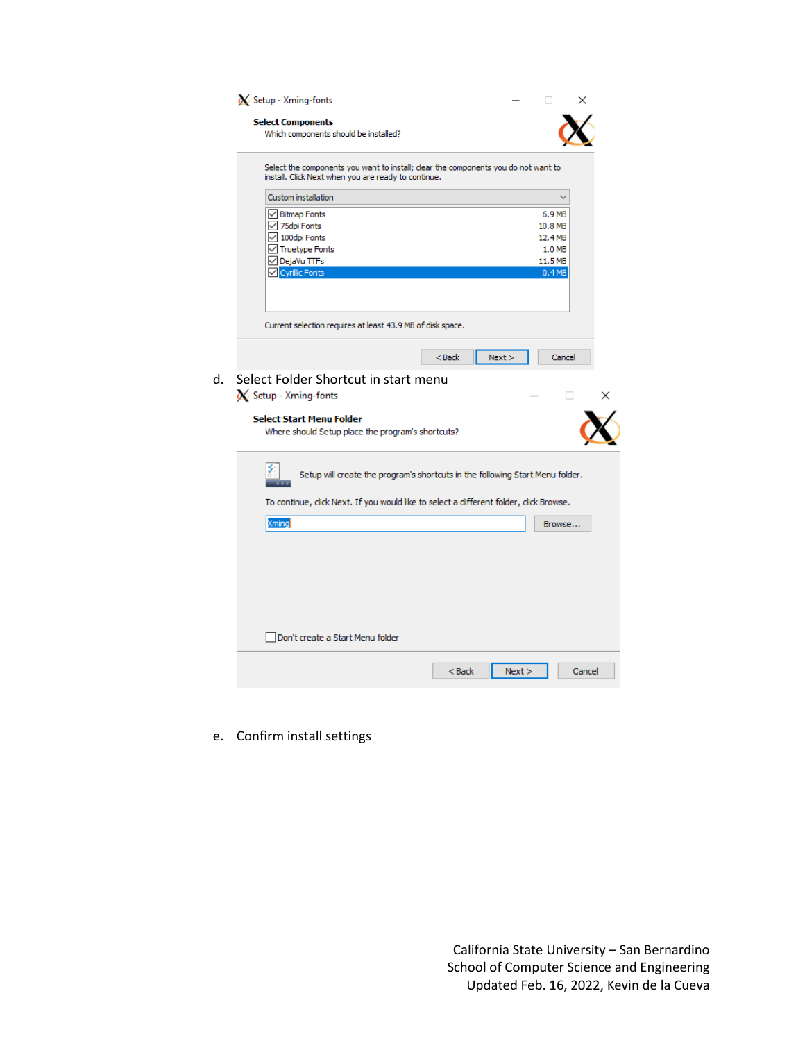| <b>Select Components</b><br>Which components should be installed? |                                                                                        |         |
|-------------------------------------------------------------------|----------------------------------------------------------------------------------------|---------|
| install. Click Next when you are ready to continue.               | Select the components you want to install; clear the components you do not want to     |         |
| Custom installation                                               |                                                                                        |         |
| $\sqrt{\phantom{a}}$ Bitmap Fonts                                 |                                                                                        | 6.9 MB  |
| √ 75dpi Fonts                                                     |                                                                                        | 10.8 MB |
| $\vee$ 100dpi Fonts                                               |                                                                                        | 12.4 MB |
| Truetype Fonts                                                    |                                                                                        | 1.0 MB  |
| √ DejaVu TTFs                                                     |                                                                                        | 11.5 MB |
| Cyrillic Fonts                                                    |                                                                                        | 0.4MB   |
|                                                                   |                                                                                        |         |
| Current selection requires at least 43.9 MB of disk space.        |                                                                                        |         |
|                                                                   | $Back$<br>Next                                                                         | Cancel  |
|                                                                   |                                                                                        |         |
| Select Folder Shortcut in start menu                              |                                                                                        |         |
| Setup - Xming-fonts                                               |                                                                                        | п       |
|                                                                   |                                                                                        |         |
|                                                                   |                                                                                        |         |
| <b>Select Start Menu Folder</b>                                   |                                                                                        |         |
| Where should Setup place the program's shortcuts?                 |                                                                                        |         |
|                                                                   |                                                                                        |         |
|                                                                   | Setup will create the program's shortcuts in the following Start Menu folder.          |         |
|                                                                   |                                                                                        |         |
|                                                                   | To continue, click Next. If you would like to select a different folder, click Browse. |         |
| Xming                                                             |                                                                                        | Browse  |
|                                                                   |                                                                                        |         |
|                                                                   |                                                                                        |         |
|                                                                   |                                                                                        |         |
|                                                                   |                                                                                        |         |
|                                                                   |                                                                                        |         |
|                                                                   |                                                                                        |         |
|                                                                   |                                                                                        |         |
|                                                                   |                                                                                        |         |
| Don't create a Start Menu folder                                  |                                                                                        |         |
|                                                                   |                                                                                        |         |

e. Confirm install settings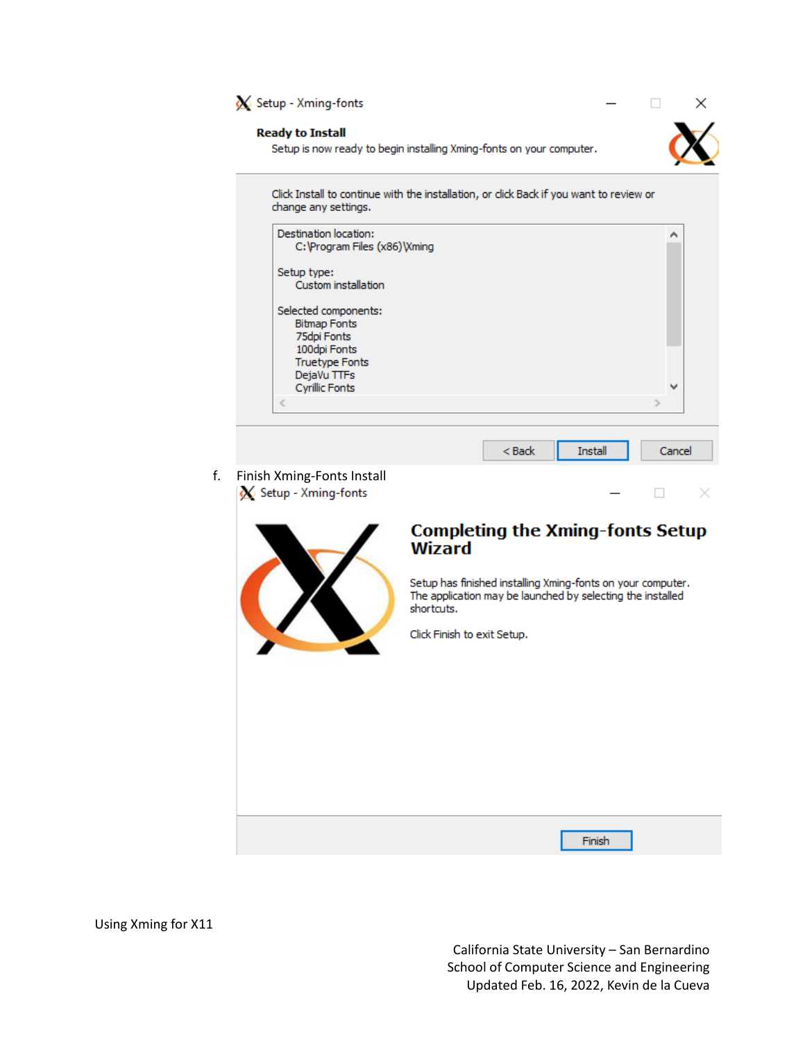

## **Ready to Install**

Setup is now ready to begin installing Xming-fonts on your computer.



×

 $\Box$ 

Click Install to continue with the installation, or click Back if you want to review or change any settings.

| Destination location:<br>C: \Program Files (x86) \Xming |          |                | ́                        |
|---------------------------------------------------------|----------|----------------|--------------------------|
| Setup type:                                             |          |                |                          |
| Custom installation                                     |          |                |                          |
| Selected components:                                    |          |                |                          |
| <b>Bitmap Fonts</b>                                     |          |                |                          |
| 75dpi Fonts                                             |          |                |                          |
| 100dpi Fonts<br><b>Truetype Fonts</b>                   |          |                |                          |
| DejaVu TTFs                                             |          |                |                          |
| <b>Cyrillic Fonts</b>                                   |          |                | $\overline{\phantom{a}}$ |
|                                                         |          |                |                          |
|                                                         |          |                |                          |
|                                                         | $<$ Back | <b>Install</b> | Cancel                   |
| iish Xming-Fonts Install                                |          |                |                          |
| Setup - Xming-fonts                                     |          |                |                          |





## **Completing the Xming-fonts Setup Wizard**

Setup has finished installing Xming-fonts on your computer. The application may be launched by selecting the installed shortcuts.

Click Finish to exit Setup.

Finish

Using Xming for X11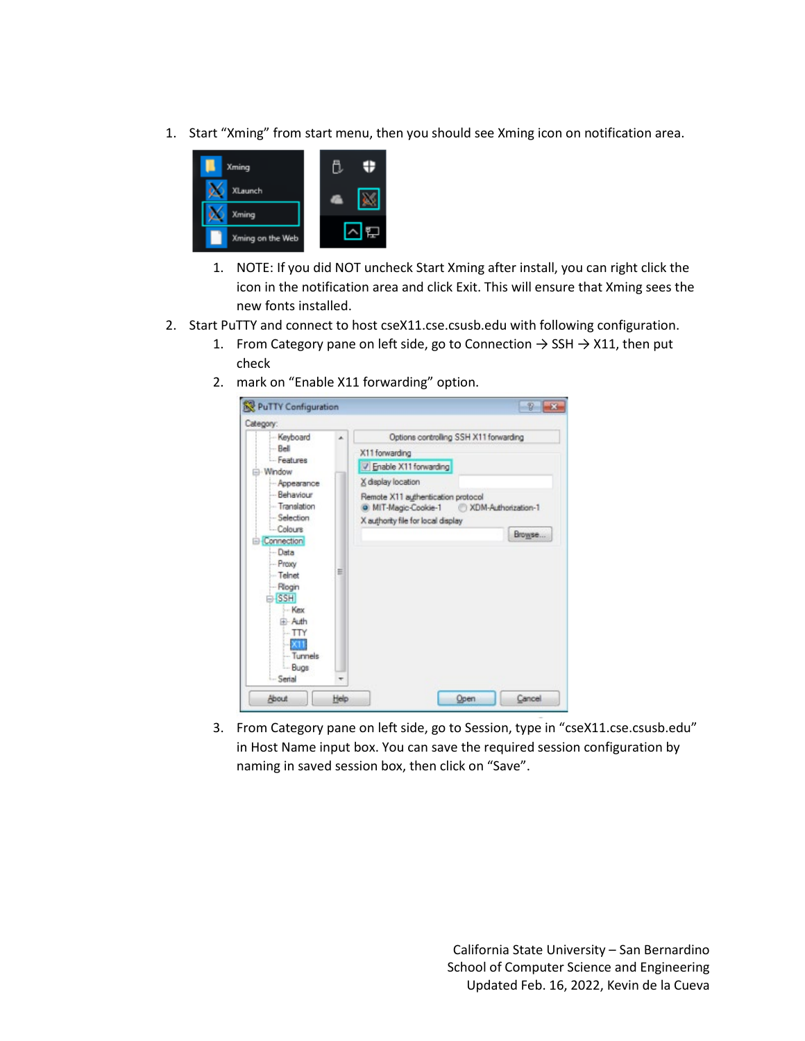1. Start "Xming" from start menu, then you should see Xming icon on notification area.



- 1. NOTE: If you did NOT uncheck Start Xming after install, you can right click the icon in the notification area and click Exit. This will ensure that Xming sees the new fonts installed.
- 2. Start PuTTY and connect to host cseX11.cse.csusb.edu with following configuration.
	- 1. From Category pane on left side, go to Connection  $\rightarrow$  SSH  $\rightarrow$  X11, then put check
	- 2. mark on "Enable X11 forwarding" option.



3. From Category pane on left side, go to Session, type in "cseX11.cse.csusb.edu" in Host Name input box. You can save the required session configuration by naming in saved session box, then click on "Save".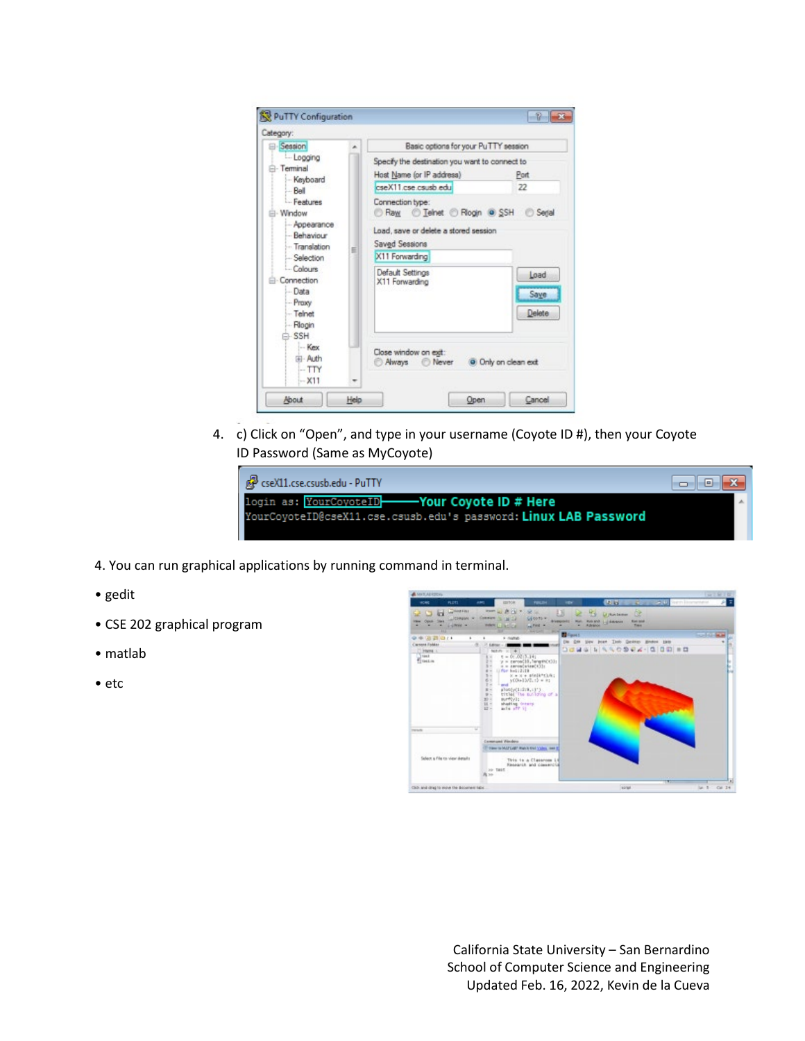

4. c) Click on "Open", and type in your username (Coyote ID #), then your Coyote ID Password (Same as MyCoyote)



- 4. You can run graphical applications by running command in terminal.
- gedit
- CSE 202 graphical program
- matlab
- etc